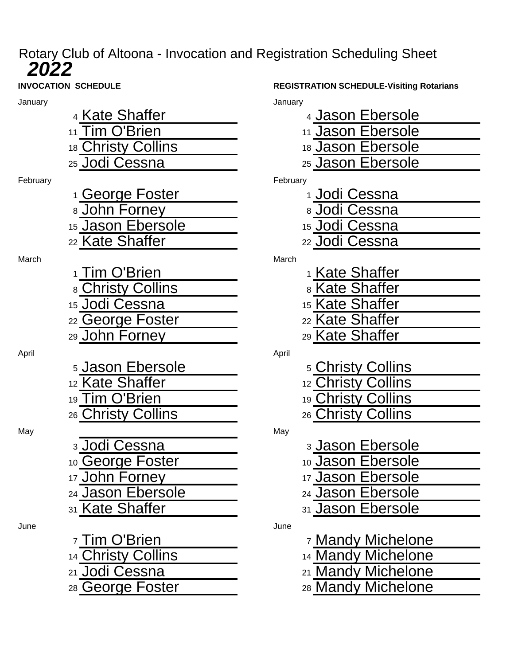## Rotary Club of Altoona - Invocation and Registration Scheduling Sheet

| January  |                             | January  |                              |
|----------|-----------------------------|----------|------------------------------|
|          | 4 Kate Shaffer              |          | 4 Jason Ebersole             |
|          | 11 Tim O'Brien              |          | 11 Jason Ebersole            |
|          | 18 Christy Collins          |          | 18 Jason Ebersole            |
|          | 25 Jodi Cessna              |          | 25 Jason Ebersole            |
| February |                             | February |                              |
|          | 1 George Foster             |          | 1 Jodi Cessna                |
|          | 8 John Forney               |          | 8 Jodi Cessna                |
|          | 15 Jason Ebersole           |          | 15 Jodi Cessna               |
|          | 22 Kate Shaffer             |          | <sub>22</sub> Jodi Cessna    |
| March    |                             | March    |                              |
|          | 1 Tim O'Brien               |          | <sup>1</sup> Kate Shaffer    |
|          | 8 Christy Collins           |          | 8 Kate Shaffer               |
|          | 15 Jodi Cessna              |          | 15 Kate Shaffer              |
|          | 22 George Foster            |          | 22 Kate Shaffer              |
|          | 29 John Forney              |          | 29 Kate Shaffer              |
| April    |                             | April    |                              |
|          | <sub>5</sub> Jason Ebersole |          | <sub>5</sub> Christy Collins |
|          | 12 Kate Shaffer             |          | 12 Christy Collins           |
|          | 19 Tim O'Brien              |          | 19 Christy Collins           |
|          | 26 Christy Collins          |          | 26 Christy Collins           |
| May      |                             | May      |                              |
|          | 3 Jodi Cessna               |          | <sub>3</sub> Jason Ebersole  |
|          | 10 George Foster            |          | 10 Jason Ebersole            |
|          | 17 John Forney              |          | 17 Jason Ebersole            |
|          | 24 Jason Ebersole           |          | 24 Jason Ebersole            |
|          | 31 Kate Shaffer             |          | 31 Jason Ebersole            |
| June     |                             | June     |                              |
|          | 7 Tim O'Brien               |          | <sup>7</sup> Mandy Michelone |
|          | 14 Christy Collins          |          | 14 Mandy Michelone           |
|          | 21 Jodi Cessna              |          | 21 Mandy Michelone           |
|          | 28 George Foster            |          | 28 Mandy Michelone           |

**INVOCATION SCHEDULE REGISTRATION SCHEDULE-Visiting Rotarians**

| าuary                               |
|-------------------------------------|
| 4 Jason Ebersole                    |
| 11 Jason Ebersole                   |
| 18 Jason Ebersole                   |
| 25 Jason Ebersole                   |
| bruary                              |
| <u>⊤Jodi Cessna</u>                 |
| 8 Jodi Cessna                       |
| 15 Jodi Cessna                      |
| <u>22 Jodi Cessna</u>               |
| irch                                |
| <sup>1</sup> Kate Shaffer           |
| 8 Kate Shaffer                      |
| 15 Kate Shaffer                     |
| 22 Kate Shaffer                     |
| 29 Kate Shaffer                     |
| ril                                 |
| <u><sub>5</sub> Christy Collins</u> |
| 12 Christy Collins                  |
| 19 Christy Collins                  |
| 26 Christy Collins                  |
| ιý                                  |
| <b>3 Jason Ebersole</b>             |
| 10 Jason Ebersole                   |
| 17 Jason Ebersole                   |
| 24 Jason Ebersole                   |
| 31 Jason Ebersole                   |
| ٦e                                  |
| <sup>7</sup> Mandy Michelone        |
| 14 Mandy Michelone                  |
|                                     |

- 21 Mandy Michelone
-